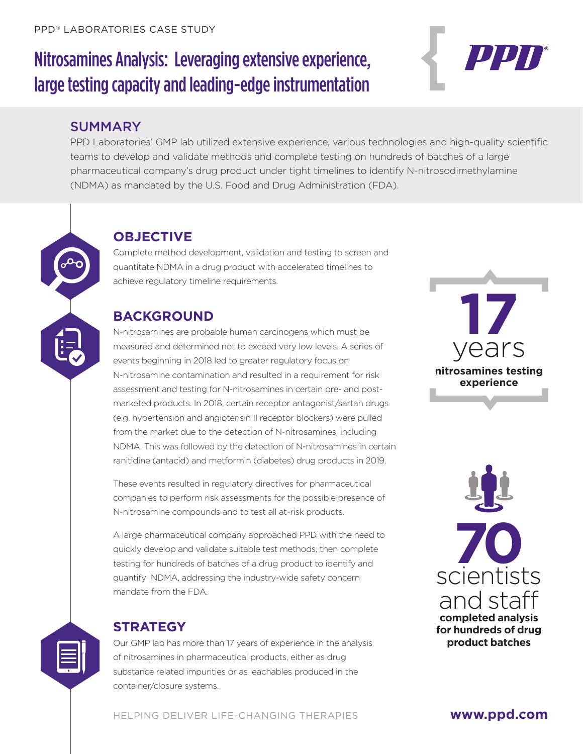# Nitrosamines Analysis: Leveraging extensive experience, large testing capacity and leading-edge instrumentation

#### SUMMARY

PPD Laboratories' GMP lab utilized extensive experience, various technologies and high-quality scientific teams to develop and validate methods and complete testing on hundreds of batches of a large pharmaceutical company's drug product under tight timelines to identify N-nitrosodimethylamine (NDMA) as mandated by the U.S. Food and Drug Administration (FDA).

#### **OBJECTIVE**

Complete method development, validation and testing to screen and quantitate NDMA in a drug product with accelerated timelines to achieve regulatory timeline requirements.

## **BACKGROUND**

N-nitrosamines are probable human carcinogens which must be measured and determined not to exceed very low levels. A series of events beginning in 2018 led to greater regulatory focus on N-nitrosamine contamination and resulted in a requirement for risk assessment and testing for N-nitrosamines in certain pre- and postmarketed products. In 2018, certain receptor antagonist/sartan drugs (e.g. hypertension and angiotensin II receptor blockers) were pulled from the market due to the detection of N-nitrosamines, including NDMA. This was followed by the detection of N-nitrosamines in certain ranitidine (antacid) and metformin (diabetes) drug products in 2019.

These events resulted in regulatory directives for pharmaceutical companies to perform risk assessments for the possible presence of N-nitrosamine compounds and to test all at-risk products.

A large pharmaceutical company approached PPD with the need to quickly develop and validate suitable test methods, then complete testing for hundreds of batches of a drug product to identify and quantify NDMA, addressing the industry-wide safety concern mandate from the FDA.

#### **STRATEGY**

Our GMP lab has more than 17 years of experience in the analysis of nitrosamines in pharmaceutical products, either as drug substance related impurities or as leachables produced in the container/closure systems.

**17** years **nitrosamines testing experience**

PPN